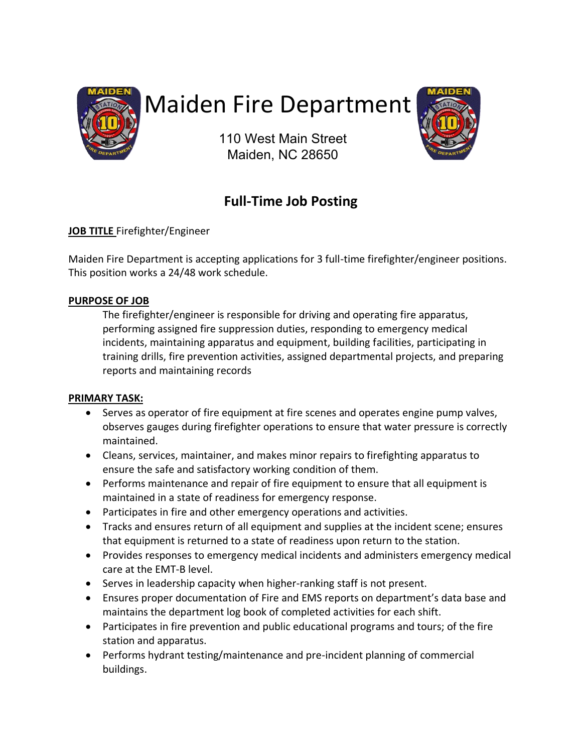

# Maiden Fire Department

110 West Main Street Maiden, NC 28650



# **Full-Time Job Posting**

# **JOB TITLE** Firefighter/Engineer

Maiden Fire Department is accepting applications for 3 full-time firefighter/engineer positions. This position works a 24/48 work schedule.

# **PURPOSE OF JOB**

The firefighter/engineer is responsible for driving and operating fire apparatus, performing assigned fire suppression duties, responding to emergency medical incidents, maintaining apparatus and equipment, building facilities, participating in training drills, fire prevention activities, assigned departmental projects, and preparing reports and maintaining records

# **PRIMARY TASK:**

- Serves as operator of fire equipment at fire scenes and operates engine pump valves, observes gauges during firefighter operations to ensure that water pressure is correctly maintained.
- Cleans, services, maintainer, and makes minor repairs to firefighting apparatus to ensure the safe and satisfactory working condition of them.
- Performs maintenance and repair of fire equipment to ensure that all equipment is maintained in a state of readiness for emergency response.
- Participates in fire and other emergency operations and activities.
- Tracks and ensures return of all equipment and supplies at the incident scene; ensures that equipment is returned to a state of readiness upon return to the station.
- Provides responses to emergency medical incidents and administers emergency medical care at the EMT-B level.
- Serves in leadership capacity when higher-ranking staff is not present.
- Ensures proper documentation of Fire and EMS reports on department's data base and maintains the department log book of completed activities for each shift.
- Participates in fire prevention and public educational programs and tours; of the fire station and apparatus.
- Performs hydrant testing/maintenance and pre-incident planning of commercial buildings.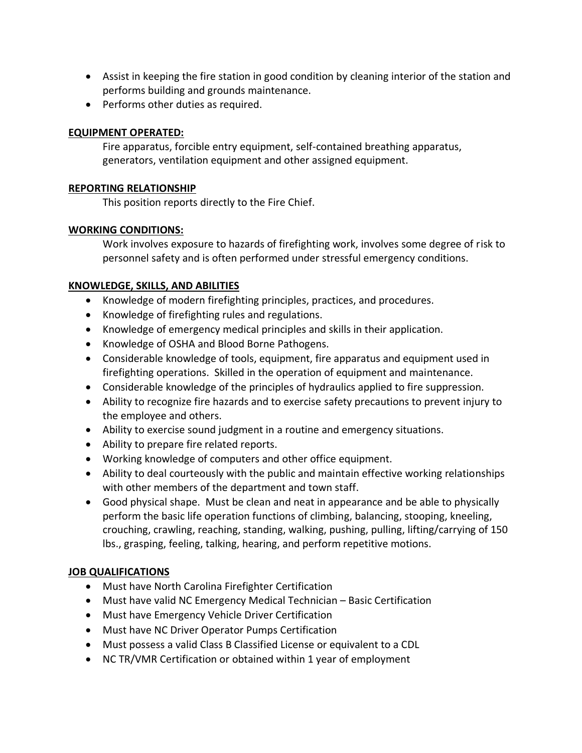- Assist in keeping the fire station in good condition by cleaning interior of the station and performs building and grounds maintenance.
- Performs other duties as required.

## **EQUIPMENT OPERATED:**

Fire apparatus, forcible entry equipment, self-contained breathing apparatus, generators, ventilation equipment and other assigned equipment.

## **REPORTING RELATIONSHIP**

This position reports directly to the Fire Chief.

# **WORKING CONDITIONS:**

Work involves exposure to hazards of firefighting work, involves some degree of risk to personnel safety and is often performed under stressful emergency conditions.

# **KNOWLEDGE, SKILLS, AND ABILITIES**

- Knowledge of modern firefighting principles, practices, and procedures.
- Knowledge of firefighting rules and regulations.
- Knowledge of emergency medical principles and skills in their application.
- Knowledge of OSHA and Blood Borne Pathogens.
- Considerable knowledge of tools, equipment, fire apparatus and equipment used in firefighting operations. Skilled in the operation of equipment and maintenance.
- Considerable knowledge of the principles of hydraulics applied to fire suppression.
- Ability to recognize fire hazards and to exercise safety precautions to prevent injury to the employee and others.
- Ability to exercise sound judgment in a routine and emergency situations.
- Ability to prepare fire related reports.
- Working knowledge of computers and other office equipment.
- Ability to deal courteously with the public and maintain effective working relationships with other members of the department and town staff.
- Good physical shape. Must be clean and neat in appearance and be able to physically perform the basic life operation functions of climbing, balancing, stooping, kneeling, crouching, crawling, reaching, standing, walking, pushing, pulling, lifting/carrying of 150 lbs., grasping, feeling, talking, hearing, and perform repetitive motions.

# **JOB QUALIFICATIONS**

- Must have North Carolina Firefighter Certification
- Must have valid NC Emergency Medical Technician Basic Certification
- Must have Emergency Vehicle Driver Certification
- Must have NC Driver Operator Pumps Certification
- Must possess a valid Class B Classified License or equivalent to a CDL
- NC TR/VMR Certification or obtained within 1 year of employment